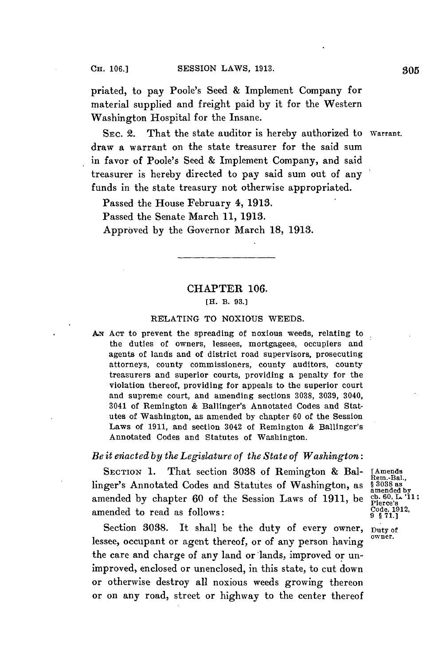priated, to pay Poole's Seed **&** Implement Company for material supplied and freight paid **by** it for the Western Washington Hospital for the Insane.

SEC. 2. That the state auditor is hereby authorized to Warrant. draw a warrant on the state treasurer for the said sum in favor of Poole's Seed **&** Implement Company, and said treasurer is hereby directed to pay said sum out of any funds in the state treasury not otherwise appropriated.

Passed the House February 4, **1913.**

Passed the Senate March **11, 1913.**

Approved **by** the Governor March **18, 1913.**

## CHAPTER **106.**

## [H. B. **93.]**

## RELATING TO NOXIOUS **WEEDS.**

AN **AcT** to prevent the spreading of noxious weeds, relating to the duties of owners, lessees, mortgagees, occupiers and agents of lands and of district road supervisors, prosecuting attorneys, county commissioners, county auditors, county treasurers and superior courts, providing a penalty for the violation thereof, providing for appeals to the superior court and supreme court, and amending sections **3038, 3039,** 3040, 3041 of Remington **&** Ballinger's Annotated Codes and Statutes of Washington, as amended **by** chapter **60** of the Session Laws of **1911,** and section 3042 of Remington **&** Ballinger's Annotated Codes and Statutes of Washington.

## *Be it efiacted by the Legislature of the State of Washington:*

**SECTION 1. That section 3038 of Remington & Bal-** [Amends Rem.-Bal., Rem.-Bal., Rem.-Bal., Rem.-Bal., Rem.-Bal., Rem.-Bal., Rem.-Bal., Rem.-Bal., Rem.-Bal., Rem.-Bal., Rem.-Bal., Rem.-Bal., Rem.-Bal., Rem.-Bal., Rem.-Bal. linger's Annotated Codes and Statutes of Washington, as amended by chapter 60 of the Session Laws of 1911, be amended to read as follows:  $\begin{array}{c} \text{Code, } 19 \\ \text{9 } \frac{2}{3} \text{71.} \end{array}$ 

Section 3038. It shall be the duty of every owner, Duty of lessee, occupant or agent thereof, or of any person having owner. the care and charge of any land or lands, improved or unimproved, enclosed or unenclosed, in this state, to cut down or otherwise destroy all noxious weeds growing thereon or on any road, street or highway to the center thereof

amended by<br>cb. 60, L. '11;<br>Pierce's<br>Code, 1912,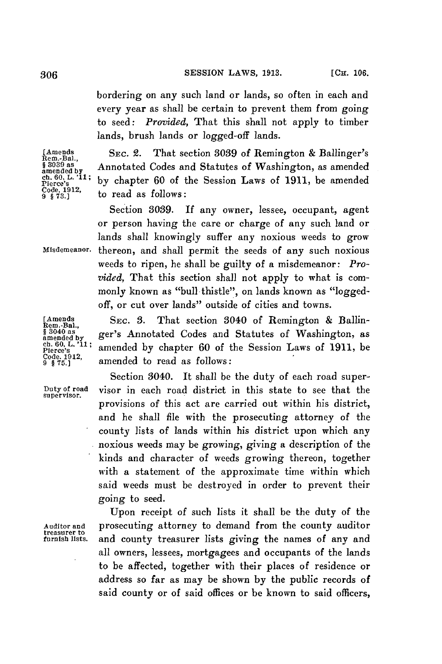bordering on any such land or lands, so often in each and every year as shall be certain to prevent them from going to seed: *Provided,* That this shall not apply to timber lands, brush lands or logged-off lands.

**[Amends** *SEC.* 2. That section **3039** of Remington **&** Ballinger's **Rem.-Bal.,** <sup>§ 3039</sup> as **Annotated Codes and Statutes of Washington**, as amended  $\frac{\text{ch. 60, L. '11}}{\text{Cice's}}$  by chapter 60 of the Session Laws of 1911, be amended  $\frac{\text{Code}}{9 \text{ s73.}}$  to read as follows: by chapter 60 of the Session Laws of 1911, be amended to read as follows:

Section **3039. If** any owner, lessee, occupant, agent or person having the care or charge of any such land or lands shall knowingly suffer any noxious weeds to grow **Misdemeanor.** thereon, and shall permit the seeds of any such noxious weeds to ripen, he shall be guilty of a misdemeanor: *Provided,* That this section shall not apply to what is commonly known as "bull thistle", on lands known as "loggedoff, or cut over lands" outside of cities and towns.

**[Amends SEC. 3.** That section 3040 of Remington **&** Ballin- **Rem.-Bal.,** \$ 3040 as<br>anned add by ger's Annotated Codes and Statutes of Washington, as<br>ch. 60, L. '11; amended by chapter 60 of the Session Laws of 1911, be<br>Pierce's ch. 60, L. <sup>711</sup>; amended by chapter 60 of the Session Laws of 1911, be Code. 1912, **amended** to read as follows:

Section 8040. It shall be the duty of each road super-**Duty of road** visor in each road district in this state to see that the **supervisor.** provisions of this act are carried out within his district, and he shall file with the prosecuting attorney of the county lists of lands within his district upon which any noxious weeds may be growing, giving a description of the kinds and character of weeds growing thereon, together with a statement of the approximate time within which said weeds must be destroyed in order to prevent their going to seed.

Upon receipt of such lists it shall be the duty of the **Auditor and** prosecuting attorney to demand from the county auditor and county treasurer lists giving the names of any and all owners, lessees, mortgagees and occupants of the lands to be affected, together with their places of residence or address so far as may be shown **by** the public records of said county or of said offices or be known to said officers,

**treasurer to**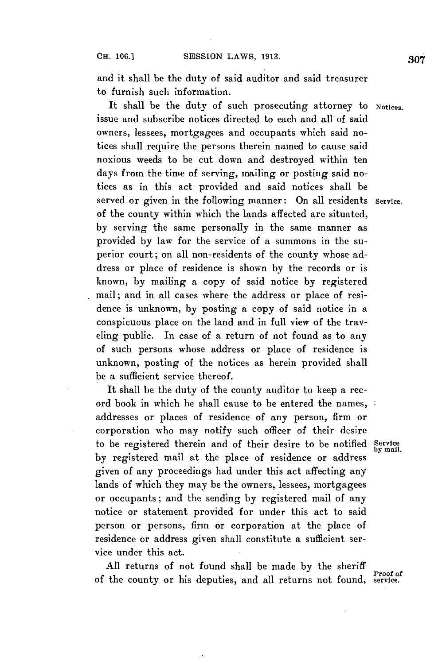and it shall be the duty of said auditor and said treasurer to furnish such information.

It shall be the duty of such prosecuting attorney to Notices. issue and subscribe notices directed to each and all of said owners, lessees, mortgagees and occupants which said notices shall require the persons therein named to cause said noxious weeds to be cut down and destroyed within ten days from the time of serving, mailing or posting said notices as in this act provided and said notices shall be served or given in the following manner: On all residents **Service.** of the county within which the lands affected are situated, **by** serving the same personally in the same manner as provided **by** law for the service of a summons in the superior court; on all non-residents of the county whose address or place of residence is shown **by** the records or is known, **by** mailing a copy of said notice **by** registered mail; and in all cases where the address or place of residence is unknown, **by** posting a copy of said notice in a conspicuous place on the land and in full view of the traveling public. In case of a return of not found as to any of such persons whose address or place of residence is unknown, posting of the notices as herein provided shall be a sufficient service thereof.

It shall be the duty of the county auditor to keep a record book in which he shall cause to be entered the names, addresses or places of residence of any person, firm or corporation who may notify such officer of their desire to be registered therein and of their desire to be notified **Service by mail. by** registered mail at the place of residence or address given of any proceedings had under this act affecting any lands of which they may be the owners, lessees, mortgagees or occupants; and the sending **by** registered mail of any notice or statement provided for under this act to said person or persons, firm or corporation at the place of residence or address given shall constitute a sufficient service under this act.

**All** returns of not found shall be made **by** the sheriff of the county or his deputies, and all returns not found, service.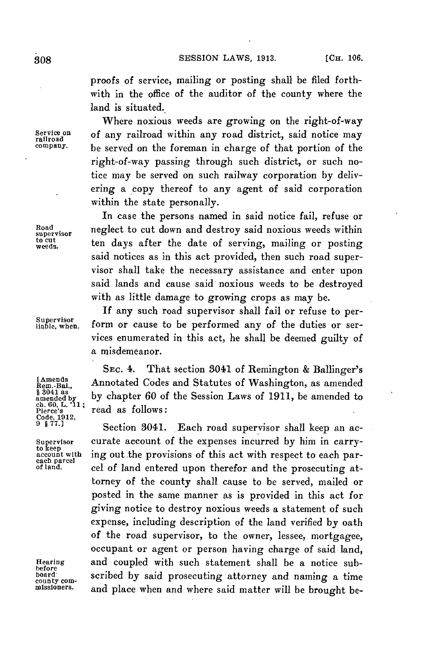proofs of service, mailing or posting shall be filed forthwith in the office of the auditor of the county where the land is situated.

Where noxious weeds are growing on the right-of-way Service on **of any railroad within any road district**, said notice may remove that company. be served on the foreman in charge of that portion of the right-of-way passing through such district, or such notice may be served on such railway corporation **by** delivering a copy thereof to any agent of said corporation within the state personally.

In case the persons named in said notice fail, refuse or Road neglect to cut down and destroy said noxious weeds within to cut ten days after the date of serving, mailing or posting said notices as in this act provided, then such road supervisor shall take the necessary assistance and enter upon said lands and cause said noxious weeds to be destroyed with as little damage to growing crops as may be.

*If* any such road supervisor shall fail or refuse to per-Supervisor<br>liable, when. form or cause to be performed any of the duties or services enumerated in this act, he shall be deemed guilty of a misdemeanor.

**SEC.** 4. That section 3041 of Remington **&** Ballinger's **Rens,** Annotated Codes and Statutes of Washington, as amended <sup>§ 3041 as</sup> by chapter 60 of the Session Laws of 1911, be amended to ch. 60, L.'11; **ch. 60, L. '11; Pierce's** read as follows:

Section 3041. Each road supervisor shall keep an ac-Supervisor curate account of the expenses incurred by him in carry-<br>to keep<br>account with ing out the provisions of this act with respect to each par-<br>each parcel of land entered upon therefor and the prosecuting at-<br>of lan torney of the county shall cause to be served, mailed or posted in the same manner as is provided in this act for giving notice to destroy noxious weeds a statement of such expense, including description of the land verified **by** oath of the road supervisor, to the owner, lessee, mortgagee, occupant or agent or person having charge of said land, **Hearing** and coupled with such statement shall be a notice sub- **before board** m scribed **by** said prosecuting attorney and naming a time **county coa-** d said atte naming **missioners.** and place when and where said matter will be brought be-

**Code, 1912,**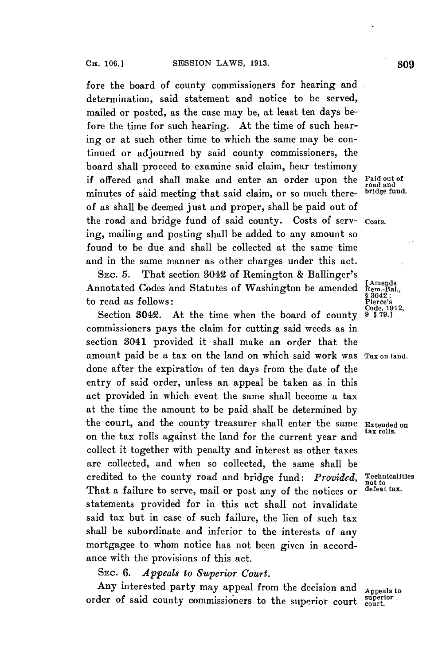fore the board of county commissioners for hearing and determination, said statement and notice to be served, mailed or posted, as the case may be, at least ten days before the time for such hearing. At the time of such hearing or at such other time to which the same may be continued or adjourned **by** said county commissioners, the board shall proceed to examine said claim, hear testimony if offered and shall make and enter an order upon the **Paid out of road and** minutes of said meeting that said claim, or so much thereof as shall be deemed just and proper, shall be paid out of the road and bridge fund of said county. Costs of serv- **costs.** ing, mailing and posting shall be added to any amount so found to be due and shall be collected at the same time and in the same manner as other charges under this act.

**SEC. 5.** That section 3042 of Remington **&** Ballinger's Annotated Codes and Statutes of Washington be amended Rem.-Bal to read as follows:

Section 3042. At the time when the board of county commissioners pays the claim for cutting said weeds as in section 3041 provided it shall make an order that the amount paid be a tax on the land on which said work was **Tax on land.** done after the expiration of ten days from the date of the entry of said order, unless an appeal be taken as in this act provided in which event the same shall become a tax at the time the amount to be paid shall be determined **by** the court, and the county treasurer shall enter the same Extended on on the tax rolls against the land for the current year and collect it together with penalty and interest as other taxes are collected, and when so collected, the same shall be credited to the county road and bridge fund: *Provided*, Technicalities<br>That a failure to serve mail or post any of the potiese on defeat tax. That a failure to serve, mail or post any of the notices or statements provided for in this act shall not invalidate said tax but in case of such failure, the lien of such tax shall be subordinate and inferior to the interests of any mortgagee to whom notice has not been given in accordance with the provisions of this act.

**SEc. 6.** *Appeals to Superior Court.*

Any interested party may appeal from the decision and Appeals to order of said county commissioners to the superior court superior.

**[Amends**<br>**Rem.-Bal.,**<br>§ 3042;<br>Plerce's<br>Code, 1912,<br>9 § 79.]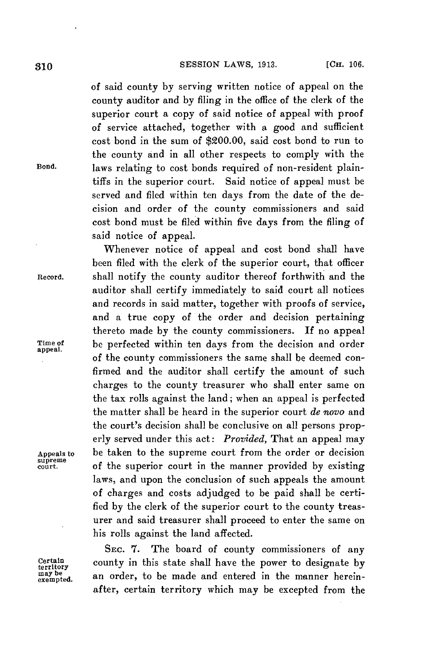of said county **by** serving written notice of appeal on the county auditor and **by** filing in the office of the clerk of the superior court a copy of said notice of appeal with proof of service attached, together with a good and sufficient cost bond in the sum of \$200.00, said cost bond to run to the county and in all other respects to comply with the Bond. laws relating to cost bonds required of non-resident plaintiffs in the superior court. Said notice of appeal must be served and filed within ten days from the date of the decision and order of the county commissioners and said cost bond must be filed within five days from the filing of said notice of appeal.

Whenever notice of appeal and cost bond shall have been filed with the clerk of the superior court, that officer Record. shall notify the county auditor thereof forthwith and the auditor shall certify immediately to said court all notices and records in said matter, together with proofs of service, and a true copy of the order and decision pertaining thereto made **by** the county commissioners. **If** no appeal Time of be perfected within ten days from the decision and order of the county commissioners the same shall be deemed confirmed and the auditor shall certify the amount of such charges to the county treasurer who shall enter same on the tax rolls against the land; when an appeal is perfected the matter shall be heard in the superior court *de novo* and the court's decision shall be conclusive on all persons properly served under this act: *Provided,* That an appeal may Appeals to be taken to the supreme court from the order or decision of the superior court in the manner provided by existing laws, and upon the conclusion of such appeals the amount of charges and costs adjudged to be paid shall be certified **by** the clerk of the superior court to the county treasurer and said treasurer shall proceed to enter the same on his rolls against the land affected.

SEC. 7. The board of county commissioners of any certain county in this state shall have the power to designate **by** an order, to be made and entered in the manner hereinafter, certain territory which may be excepted from the

supreme<br>court.

may be<br>exempted.